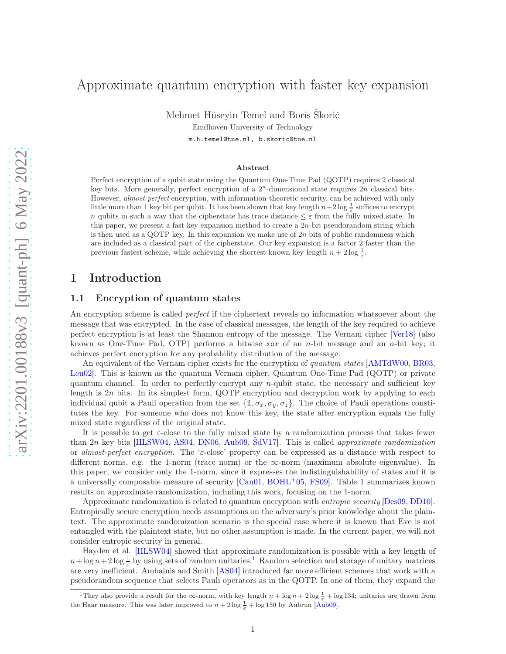# Approximate quantum encryption with faster key expansion

Mehmet Hüseyin Temel and Boris Škorić

Eindhoven University of Technology

m.h.temel@tue.nl, b.skoric@tue.nl

#### Abstract

Perfect encryption of a qubit state using the Quantum One-Time Pad (QOTP) requires 2 classical key bits. More generally, perfect encryption of a  $2^n$ -dimensional state requires  $2n$  classical bits. However, *almost-perfect* encryption, with information-theoretic security, can be achieved with only little more than 1 key bit per qubit. It has been shown that key length  $n+2\log\frac{1}{\varepsilon}$  suffices to encrypt n qubits in such a way that the cipherstate has trace distance  $\leq \varepsilon$  from the fully mixed state. In this paper, we present a fast key expansion method to create a  $2n$ -bit pseudorandom string which is then used as a QOTP key. In this expansion we make use of  $2n$  bits of public randomness which are included as a classical part of the cipherstate. Our key expansion is a factor 2 faster than the previous fastest scheme, while achieving the shortest known key length  $n + 2 \log \frac{1}{\varepsilon}$ .

## 1 Introduction

## 1.1 Encryption of quantum states

An encryption scheme is called *perfect* if the ciphertext reveals no information whatsoever about the message that was encrypted. In the case of classical messages, the length of the key required to achieve perfect encryption is at least the Shannon entropy of the message. The Vernam cipher [\[Ver18\]](#page-6-0) (also known as One-Time Pad, OTP) performs a bitwise xor of an n-bit message and an n-bit key; it achieves perfect encryption for any probability distribution of the message.

An equivalent of the Vernam cipher exists for the encryption of *quantum states* [\[AMTdW00,](#page-5-0) [BR03,](#page-6-1) [Leu02\]](#page-6-2). This is known as the quantum Vernam cipher, Quantum One-Time Pad (QOTP) or private quantum channel. In order to perfectly encrypt any n-qubit state, the necessary and sufficient key length is 2n bits. In its simplest form, QOTP encryption and decryption work by applying to each individual qubit a Pauli operation from the set  $\{\mathbb{1}, \sigma_x, \sigma_y, \sigma_z\}$ . The choice of Pauli operations constitutes the key. For someone who does not know this key, the state after encryption equals the fully mixed state regardless of the original state.

It is possible to get  $\varepsilon$ -close to the fully mixed state by a randomization process that takes fewer than 2n key bits [\[HLSW04,](#page-6-3) [AS04,](#page-5-1) [DN06,](#page-6-4) [Aub09,](#page-6-5) [ŠdV17\]](#page-6-6). This is called *approximate randomization* or *almost-perfect encryption*. The 'ε-close' property can be expressed as a distance with respect to different norms, e.g. the 1-norm (trace norm) or the ∞-norm (maximum absolute eigenvalue). In this paper, we consider only the 1-norm, since it expresses the indistinguishability of states and it is a universally composable measure of security [\[Can01,](#page-6-7) [BOHL](#page-6-8)+05, [FS09\]](#page-6-9). Table [1](#page-1-0) summarizes known results on approximate randomization, including this work, focusing on the 1-norm.

Approximate randomization is related to quantum encryption with *entropic security* [\[Des09,](#page-6-10) [DD10\]](#page-6-11). Entropically secure encryption needs assumptions on the adversary's prior knowledge about the plaintext. The approximate randomization scenario is the special case where it is known that Eve is not entangled with the plaintext state, but no other assumption is made. In the current paper, we will not consider entropic security in general.

Hayden et al. [\[HLSW04\]](#page-6-3) showed that approximate randomization is possible with a key length of  $n + \log n + 2 \log \frac{1}{\varepsilon}$  $n + \log n + 2 \log \frac{1}{\varepsilon}$  $n + \log n + 2 \log \frac{1}{\varepsilon}$  by using sets of random unitaries.<sup>1</sup> Random selection and storage of unitary matrices are very inefficient. Ambainis and Smith [\[AS04\]](#page-5-1) introduced far more efficient schemes that work with a pseudorandom sequence that selects Pauli operators as in the QOTP. In one of them, they expand the

<span id="page-0-0"></span><sup>&</sup>lt;sup>1</sup>They also provide a result for the  $\infty$ -norm, with key length  $n + \log n + 2 \log \frac{1}{\varepsilon} + \log 134$ ; unitaries are drawn from the Haar measure. This was later improved to  $n + 2 \log \frac{1}{\varepsilon} + \log 150$  by Aubrun [\[Aub09\]](#page-6-5).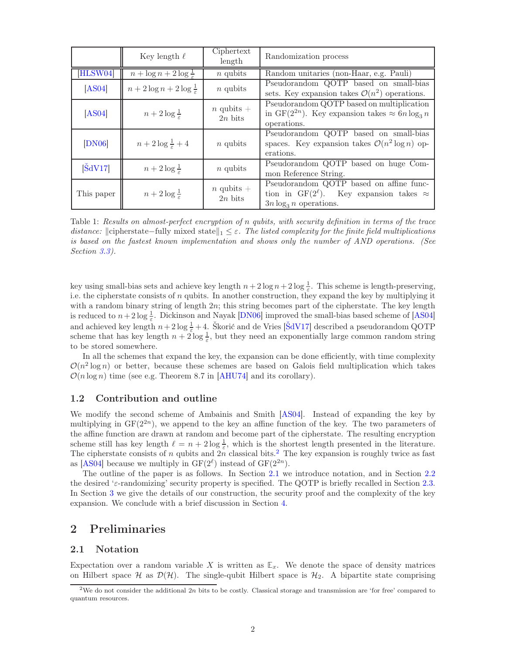|                             | Key length $\ell$                        | Ciphertext<br>length        | Randomization process                                                                                                           |
|-----------------------------|------------------------------------------|-----------------------------|---------------------------------------------------------------------------------------------------------------------------------|
| [HLSW04]                    | $n + \log n + 2\log \frac{1}{\epsilon}$  | $n$ qubits                  | Random unitaries (non-Haar, e.g. Pauli)                                                                                         |
| [AS04]                      | $n + 2\log n + 2\log \frac{1}{\epsilon}$ | $n$ qubits                  | Pseudorandom QOTP based on small-bias<br>sets. Key expansion takes $\mathcal{O}(n^2)$ operations.                               |
| [AS04]                      | $n+2\log\frac{1}{\varepsilon}$           | $n$ qubits $+$<br>$2n$ bits | Pseudorandom QOTP based on multiplication<br>in GF(2 <sup>2n</sup> ). Key expansion takes $\approx 6n \log_3 n$<br>operations.  |
| [DN06]                      | $n+2\log\frac{1}{\varepsilon}+4$         | $n$ qubits                  | Pseudorandom QOTP based on small-bias<br>spaces. Key expansion takes $\mathcal{O}(n^2 \log n)$ op-<br>erations.                 |
| $\left[\text{ŠdV17}\right]$ | $n+2\log\frac{1}{\varepsilon}$           | $n$ qubits                  | Pseudorandom QOTP based on huge Com-<br>mon Reference String.                                                                   |
| This paper                  | $n+2\log\frac{1}{\varepsilon}$           | $n$ qubits $+$<br>$2n$ bits | Pseudorandom QOTP based on affine func-<br>tion in GF( $2^{\ell}$ ). Key expansion takes $\approx$<br>$3n \log_3 n$ operations. |

<span id="page-1-0"></span>Table 1: *Results on almost-perfect encryption of* n *qubits, with security definition in terms of the trace distance:*  $\|$ cipherstate−fully mixed state $\|_1 \leq \varepsilon$ . The listed complexity for the finite field multiplications *is based on the fastest known implementation and shows only the number of AND operations. (See Section [3.3\)](#page-5-2).*

key using small-bias sets and achieve key length  $n+2\log n+2\log \frac{1}{\varepsilon}$ . This scheme is length-preserving, i.e. the cipherstate consists of  $n$  qubits. In another construction, they expand the key by multiplying it with a random binary string of length  $2n$ ; this string becomes part of the cipherstate. The key length is reduced to  $n+2\log\frac{1}{\varepsilon}$ . Dickinson and Nayak [\[DN06\]](#page-6-4) improved the small-bias based scheme of [\[AS04\]](#page-5-1) and achieved key length  $n+2\log\frac{1}{\varepsilon}+4$ . Škorić and de Vries [\[ŠdV17\]](#page-6-6) described a pseudorandom QOTP scheme that has key length  $n + 2 \log \frac{1}{\varepsilon}$ , but they need an exponentially large common random string to be stored somewhere.

In all the schemes that expand the key, the expansion can be done efficiently, with time complexity  $\mathcal{O}(n^2 \log n)$  or better, because these schemes are based on Galois field multiplication which takes  $\mathcal{O}(n \log n)$  time (see e.g. Theorem 8.7 in [\[AHU74\]](#page-5-3) and its corollary).

## 1.2 Contribution and outline

We modify the second scheme of Ambainis and Smith [\[AS04\]](#page-5-1). Instead of expanding the key by multiplying in  $GF(2^{2n})$ , we append to the key an affine function of the key. The two parameters of the affine function are drawn at random and become part of the cipherstate. The resulting encryption scheme still has key length  $\ell = n + 2 \log \frac{1}{\varepsilon}$ , which is the shortest length presented in the literature. The cipherstate consists of n qubits and  $2n$  $2n$  classical bits.<sup>2</sup> The key expansion is roughly twice as fast as [\[AS04\]](#page-5-1) because we multiply in  $GF(2^{\ell})$  instead of  $GF(2^{2n})$ .

The outline of the paper is as follows. In Section [2.1](#page-1-2) we introduce notation, and in Section [2.2](#page-2-0) the desired ' $\varepsilon$ -randomizing' security property is specified. The QOTP is briefly recalled in Section [2.3.](#page-2-1) In Section [3](#page-3-0) we give the details of our construction, the security proof and the complexity of the key expansion. We conclude with a brief discussion in Section [4.](#page-5-4)

## <span id="page-1-2"></span>2 Preliminaries

## 2.1 Notation

Expectation over a random variable  $X$  is written as  $\mathbb{E}_x$ . We denote the space of density matrices on Hilbert space  $H$  as  $\mathcal{D}(\mathcal{H})$ . The single-qubit Hilbert space is  $\mathcal{H}_2$ . A bipartite state comprising

<span id="page-1-1"></span><sup>&</sup>lt;sup>2</sup>We do not consider the additional 2n bits to be costly. Classical storage and transmission are 'for free' compared to quantum resources.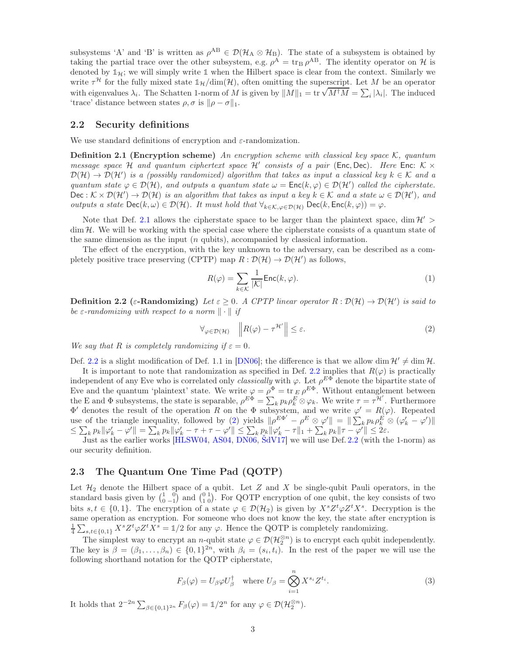subsystems 'A' and 'B' is written as  $\rho^{AB} \in \mathcal{D}(\mathcal{H}_A \otimes \mathcal{H}_B)$ . The state of a subsystem is obtained by taking the partial trace over the other subsystem, e.g.  $\rho^A = \text{tr}_B \rho^{AB}$ . The identity operator on H is denoted by  $\mathbb{1}_H$ ; we will simply write  $\mathbb{1}$  when the Hilbert space is clear from the context. Similarly we write  $\tau^{\mathcal{H}}$  for the fully mixed state  $\mathbb{1}_{\mathcal{H}}/\text{dim}(\mathcal{H})$ , often omitting the superscript. Let M be an operator with eigenvalues  $\lambda_i$ . The Schatten 1-norm of M is given by  $||M||_1 = \text{tr} \sqrt{M^{\dagger}M} = \sum_i |\lambda_i|$ . The induced 'trace' distance between states  $\rho, \sigma$  is  $\|\rho - \sigma\|_1$ .

### <span id="page-2-0"></span>2.2 Security definitions

<span id="page-2-2"></span>We use standard definitions of encryption and  $\varepsilon$ -randomization.

Definition 2.1 (Encryption scheme) *An encryption scheme with classical key space* K*, quantum message space*  $H$  *and quantum ciphertext space*  $H'$  *consists of a pair* (Enc, Dec)*. Here* Enc:  $K \times$  $\mathcal{D}(\mathcal{H}) \to \mathcal{D}(\mathcal{H}')$  *is a (possibly randomized) algorithm that takes as input a classical key k*  $\in \mathcal{K}$  *and a quantum state*  $\varphi \in \mathcal{D}(\mathcal{H})$ *, and outputs a quantum state*  $\omega = \text{Enc}(k, \varphi) \in \mathcal{D}(\mathcal{H}')$  *called the cipherstate.*  $\textsf{Dec} : \mathcal{K} \times \mathcal{D}(\mathcal{H}') \to \mathcal{D}(\mathcal{H})$  is an algorithm that takes as input a key  $k \in \mathcal{K}$  and a state  $\omega \in \mathcal{D}(\mathcal{H}')$ , and *outputs a state*  $\text{Dec}(k, \omega) \in \mathcal{D}(\mathcal{H})$ *. It must hold that*  $\forall_{k \in \mathcal{K}, \omega \in \mathcal{D}(\mathcal{H})} \text{Dec}(k, \text{Enc}(k, \varphi)) = \varphi$ *.* 

Note that Def. [2.1](#page-2-2) allows the cipherstate space to be larger than the plaintext space, dim  $\mathcal{H}'$  $\dim \mathcal{H}$ . We will be working with the special case where the cipherstate consists of a quantum state of the same dimension as the input  $(n \text{ qubits})$ , accompanied by classical information.

The effect of the encryption, with the key unknown to the adversary, can be described as a completely positive trace preserving (CPTP) map  $R: \mathcal{D}(\mathcal{H}) \to \mathcal{D}(\mathcal{H}')$  as follows,

$$
R(\varphi) = \sum_{k \in \mathcal{K}} \frac{1}{|\mathcal{K}|} \text{Enc}(k, \varphi).
$$
 (1)

<span id="page-2-3"></span>**Definition 2.2** ( $\varepsilon$ -Randomizing) Let  $\varepsilon \geq 0$ . A CPTP linear operator  $R : \mathcal{D}(\mathcal{H}) \to \mathcal{D}(\mathcal{H}')$  is said to *be*  $\varepsilon$ -randomizing with respect to a norm  $\|\cdot\|$  if

<span id="page-2-4"></span>
$$
\forall_{\varphi \in \mathcal{D}(\mathcal{H})} \quad \left\| R(\varphi) - \tau^{\mathcal{H}'} \right\| \le \varepsilon. \tag{2}
$$

*We say that* R *is completely randomizing if*  $\varepsilon = 0$ *.* 

Def. [2.2](#page-2-3) is a slight modification of Def. 1.1 in [\[DN06\]](#page-6-4); the difference is that we allow dim  $\mathcal{H}' \neq \dim \mathcal{H}$ .

It is important to note that randomization as specified in Def. [2.2](#page-2-3) implies that  $R(\varphi)$  is practically independent of any Eve who is correlated only *classically* with  $\varphi$ . Let  $\rho^{E\Phi}$  denote the bipartite state of Eve and the quantum 'plaintext' state. We write  $\varphi = \rho^{\Phi} = \text{tr }_{E} \rho^{E\Phi}$ . Without entanglement between the E and  $\Phi$  subsystems, the state is separable,  $\rho^{E\Phi} = \sum_{k} p_k \rho_k^E \otimes \varphi_k$ . We write  $\tau = \tau^{\mathcal{H}}$ . Furthermore  $\Phi'$  denotes the result of the operation R on the  $\Phi$  subsystem, and we write  $\varphi' = R(\varphi)$ . Repeated use of the triangle inequality, followed by [\(2\)](#page-2-4) yields  $\|\rho^{E\Phi'} - \rho^E \otimes \varphi'\| = \|\sum_k p_k \rho_k^E \otimes (\varphi'_k - \varphi')\|$  $\leq \sum_k p_k \|\varphi'_k - \varphi'\| = \sum_k p_k \|\varphi'_k - \tau + \tau - \varphi'\| \leq \sum_k p_k \|\varphi'_k - \tau\|_1 + \sum_k p_k \|\tau - \varphi'\| \leq 2\varepsilon.$ 

Just as the earlier works [\[HLSW04,](#page-6-3) [AS04,](#page-5-1) [DN06,](#page-6-4) [ŠdV17\]](#page-6-6) we will use Def. [2.2](#page-2-3) (with the 1-norm) as our security definition.

## <span id="page-2-1"></span>2.3 The Quantum One Time Pad (QOTP)

Let  $\mathcal{H}_2$  denote the Hilbert space of a qubit. Let Z and X be single-qubit Pauli operators, in the standard basis given by  $\begin{pmatrix} 1 & 0 \\ 0 & -1 \end{pmatrix}$  and  $\begin{pmatrix} 0 & 1 \\ 1 & 0 \end{pmatrix}$ . For QOTP encryption of one qubit, the key consists of two bits  $s, t \in \{0, 1\}$ . The encryption of a state  $\varphi \in \mathcal{D}(\mathcal{H}_2)$  is given by  $X^s Z^t \varphi Z^t X^s$ . Decryption is the same operation as encryption. For someone who does not know the key, the state after encryption is  $\frac{1}{4}\sum_{s,t\in\{0,1\}} X^s Z^t \varphi Z^t X^s = \mathbb{1}/2$  for any  $\varphi$ . Hence the QOTP is completely randomizing.

The simplest way to encrypt an *n*-qubit state  $\varphi \in \mathcal{D}(\mathcal{H}_2^{\otimes n})$  is to encrypt each qubit independently. The key is  $\beta = (\beta_1, \ldots, \beta_n) \in \{0, 1\}^{2n}$ , with  $\beta_i = (s_i, t_i)$ . In the rest of the paper we will use the following shorthand notation for the QOTP cipherstate,

<span id="page-2-5"></span>
$$
F_{\beta}(\varphi) = U_{\beta} \varphi U_{\beta}^{\dagger} \quad \text{where } U_{\beta} = \bigotimes_{i=1}^{n} X^{s_i} Z^{t_i}.
$$
 (3)

It holds that  $2^{-2n} \sum_{\beta \in \{0,1\}^{2n}} F_{\beta}(\varphi) = \mathbb{1}/2^n$  for any  $\varphi \in \mathcal{D}(\mathcal{H}_2^{\otimes n})$ .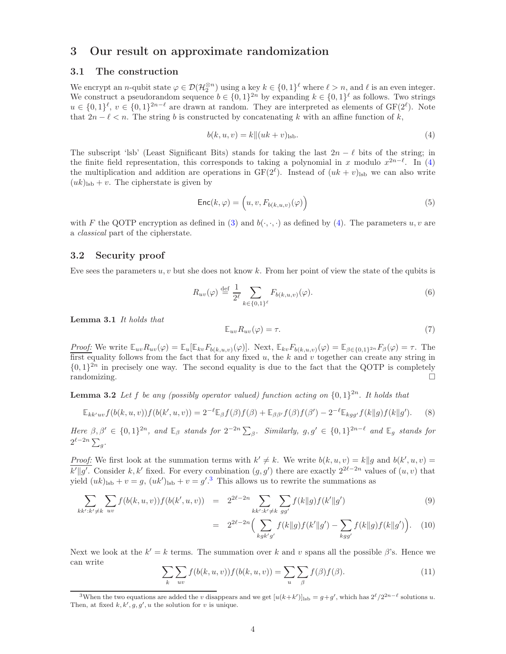## <span id="page-3-0"></span>3 Our result on approximate randomization

### 3.1 The construction

We encrypt an *n*-qubit state  $\varphi \in \mathcal{D}(\mathcal{H}_2^{\otimes n})$  using a key  $k \in \{0,1\}^{\ell}$  where  $\ell > n$ , and  $\ell$  is an even integer. We construct a pseudorandom sequence  $b \in \{0,1\}^{2n}$  by expanding  $k \in \{0,1\}^{\ell}$  as follows. Two strings  $u \in \{0,1\}^{\ell}, v \in \{0,1\}^{2n-\ell}$  are drawn at random. They are interpreted as elements of  $GF(2^{\ell})$ . Note that  $2n - \ell < n$ . The string b is constructed by concatenating k with an affine function of k,

<span id="page-3-1"></span>
$$
b(k, u, v) = k ||(uk + v)_{\text{lsb}}.
$$
\n(4)

The subscript 'lsb' (Least Significant Bits) stands for taking the last  $2n - \ell$  bits of the string; in the finite field representation, this corresponds to taking a polynomial in x modulo  $x^{2n-\ell}$ . In [\(4\)](#page-3-1) the multiplication and addition are operations in  $GF(2^{\ell})$ . Instead of  $(uk + v)_{\text{lsb}}$  we can also write  $(uk)_{\rm lab} + v$ . The cipherstate is given by

$$
Enc(k, \varphi) = (u, v, F_{b(k, u, v)}(\varphi))
$$
\n(5)

with F the QOTP encryption as defined in [\(3\)](#page-2-5) and  $b(\cdot,\cdot,\cdot)$  as defined by [\(4\)](#page-3-1). The parameters  $u, v$  are a *classical* part of the cipherstate.

### 3.2 Security proof

Eve sees the parameters  $u, v$  but she does not know  $k$ . From her point of view the state of the qubits is

<span id="page-3-3"></span>
$$
R_{uv}(\varphi) \stackrel{\text{def}}{=} \frac{1}{2^{\ell}} \sum_{k \in \{0,1\}^{\ell}} F_{b(k,u,v)}(\varphi). \tag{6}
$$

<span id="page-3-4"></span>Lemma 3.1 *It holds that*

$$
\mathbb{E}_{uv} R_{uv}(\varphi) = \tau. \tag{7}
$$

*Proof:* We write  $\mathbb{E}_{uv}R_{uv}(\varphi) = \mathbb{E}_{u}[\mathbb{E}_{kv}F_{b(k,u,v)}(\varphi)]$ . Next,  $\mathbb{E}_{kv}F_{b(k,u,v)}(\varphi) = \mathbb{E}_{\beta \in \{0,1\}^{2n}}F_{\beta}(\varphi) = \tau$ . The first equality follows from the fact that for any fixed  $u$ , the  $k$  and  $v$  together can create any string in  $\{0,1\}^{2n}$  in precisely one way. The second equality is due to the fact that the QOTP is completely randomizing.

<span id="page-3-5"></span>**Lemma 3.2** Let f be any (possibly operator valued) function acting on  $\{0,1\}^{2n}$ . It holds that

$$
\mathbb{E}_{kk'uv} f(b(k, u, v)) f(b(k', u, v)) = 2^{-\ell} \mathbb{E}_{\beta} f(\beta) f(\beta) + \mathbb{E}_{\beta \beta'} f(\beta) f(\beta') - 2^{-\ell} \mathbb{E}_{kgg'} f(k \| g) f(k \| g'). \tag{8}
$$

*Here*  $\beta, \beta' \in \{0, 1\}^{2n}$ , and  $\mathbb{E}_{\beta}$  *stands for*  $2^{-2n} \sum_{\beta}$ . *Similarly,*  $g, g' \in \{0, 1\}^{2n-\ell}$  *and*  $\mathbb{E}_{g}$  *stands for*  $2^{\ell-2n}\sum_{g}$ .

*Proof:* We first look at the summation terms with  $k' \neq k$ . We write  $b(k, u, v) = k||g$  and  $b(k', u, v) =$ k'||g'. Consider k, k' fixed. For every combination  $(g, g')$  there are exactly  $2^{2\ell-2n}$  values of  $(u, v)$  that yield  $(uk)_{\text{lsb}} + v = g$ ,  $(uk')_{\text{lsb}} + v = g'$ .<sup>[3](#page-3-2)</sup> This allows us to rewrite the summations as

$$
\sum_{kk':k'\neq k} \sum_{uv} f(b(k, u, v)) f(b(k', u, v)) = 2^{2\ell - 2n} \sum_{kk':k'\neq k} \sum_{gg'} f(k||g) f(k'||g')
$$
(9)

$$
= 2^{2\ell - 2n} \Big( \sum_{kgk'g'} f(k\|g) f(k'\|g') - \sum_{kgg'} f(k\|g) f(k\|g') \Big). \tag{10}
$$

Next we look at the  $k' = k$  terms. The summation over k and v spans all the possible  $\beta$ 's. Hence we can write

$$
\sum_{k} \sum_{uv} f(b(k, u, v)) f(b(k, u, v)) = \sum_{u} \sum_{\beta} f(\beta) f(\beta).
$$
\n(11)

<span id="page-3-2"></span><sup>&</sup>lt;sup>3</sup>When the two equations are added the v disappears and we get  $[u(k+k')]_{\rm lsb} = g + g'$ , which has  $2^{\ell}/2^{2n-\ell}$  solutions u. Then, at fixed  $k, k', g, g', u$  the solution for v is unique.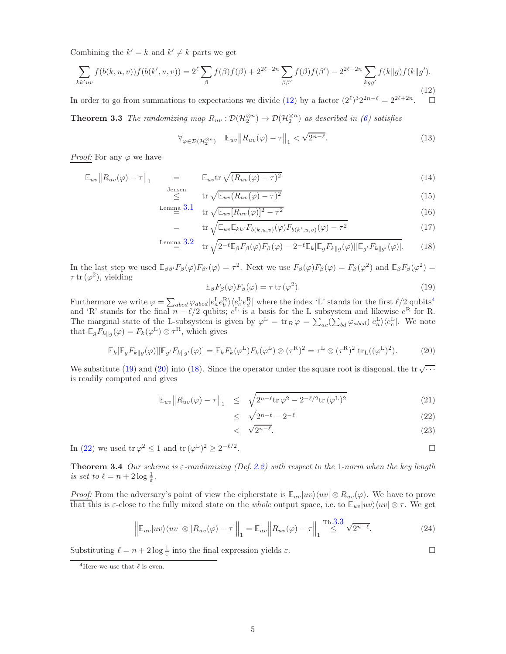Combining the  $k' = k$  and  $k' \neq k$  parts we get

<span id="page-4-0"></span>
$$
\sum_{kk'uv} f(b(k, u, v)) f(b(k', u, v)) = 2^{\ell} \sum_{\beta} f(\beta) f(\beta) + 2^{2\ell - 2n} \sum_{\beta \beta'} f(\beta) f(\beta') - 2^{2\ell - 2n} \sum_{kgg'} f(k \| g) f(k \| g').
$$
\n(12)

<span id="page-4-6"></span>In order to go from summations to expectations we divide [\(12\)](#page-4-0) by a factor  $(2^{\ell})^3 2^{2n-\ell} = 2^{2\ell+2n}$ .

**Theorem 3.3** *The randomizing map*  $R_{uv}: \mathcal{D}(\mathcal{H}_2^{\otimes n}) \to \mathcal{D}(\mathcal{H}_2^{\otimes n})$  *as described in [\(6\)](#page-3-3) satisfies* 

$$
\forall_{\varphi \in \mathcal{D}(\mathcal{H}_2^{\otimes n})} \quad \mathbb{E}_{uv} \| R_{uv}(\varphi) - \tau \|_1 < \sqrt{2^{n-\ell}}. \tag{13}
$$

*Proof:* For any  $\varphi$  we have

<span id="page-4-4"></span>
$$
\mathbb{E}_{uv} \| R_{uv}(\varphi) - \tau \|_1 = \mathbb{E}_{uv} \text{tr} \sqrt{(R_{uv}(\varphi) - \tau)^2}
$$
\n(14)

$$
\leq \qquad \text{tr}\sqrt{\mathbb{E}_{uv}(R_{uv}(\varphi)-\tau)^2} \tag{15}
$$
\n
$$
\leq \qquad \text{m}\quad 3.1 \tag{16}
$$

$$
\begin{aligned}\n\text{Lemma 3.1} \quad & \text{tr}\sqrt{\mathbb{E}_{uv}[R_{uv}(\varphi)]^2 - \tau^2} \\
&= \quad & \text{tr}\sqrt{\mathbb{E}_{uv}\mathbb{E}_{kk'}F_{b(k,u,v)}(\varphi)F_{b(k',u,v)}(\varphi) - \tau^2}\n\end{aligned}\n\tag{16}
$$

$$
\text{Lemma 3.2} \quad \text{tr}\sqrt{2^{-\ell}\mathbb{E}_{\beta}F_{\beta}(\varphi)F_{\beta}(\varphi) - 2^{-\ell}\mathbb{E}_{k}[\mathbb{E}_{g}F_{k\|g}(\varphi)][\mathbb{E}_{g'}F_{k\|g'}(\varphi)]}. \tag{18}
$$

In the last step we used  $\mathbb{E}_{\beta\beta'}F_{\beta}(\varphi)F_{\beta'}(\varphi)=\tau^2$ . Next we use  $F_{\beta}(\varphi)F_{\beta}(\varphi)=F_{\beta}(\varphi^2)$  and  $\mathbb{E}_{\beta}F_{\beta}(\varphi^2)=\tau^2$ .  $\tau$  tr  $(\varphi^2)$ , yielding

<span id="page-4-2"></span>
$$
\mathbb{E}_{\beta} F_{\beta}(\varphi) F_{\beta}(\varphi) = \tau \operatorname{tr}(\varphi^2). \tag{19}
$$

Furthermore we write  $\varphi = \sum_{abcd} \varphi_{abcd} |e_a^L e_b^R\rangle \langle e_c^L e_d^R|$  where the index 'L' stands for the first  $\ell/2$  qubits<sup>[4](#page-4-1)</sup> and 'R' stands for the final  $n - \ell/2$  qubits;  $e^L$  is a basis for the L subsystem and likewise  $e^R$  for R. The marginal state of the L-subsystem is given by  $\varphi^L = \text{tr}_R \varphi = \sum_{ac} (\sum_{bd} \varphi_{abcd}) |e^L_a\rangle \langle e^L_c|$ . We note that  $\mathbb{E}_g F_{k||g}(\varphi) = F_k(\varphi^L) \otimes \tau^R$ , which gives

<span id="page-4-3"></span>
$$
\mathbb{E}_k[\mathbb{E}_g F_{k\parallel g}(\varphi)][\mathbb{E}_{g'} F_{k\parallel g'}(\varphi)] = \mathbb{E}_k F_k(\varphi^{\mathcal{L}}) F_k(\varphi^{\mathcal{L}}) \otimes (\tau^{\mathcal{R}})^2 = \tau^{\mathcal{L}} \otimes (\tau^{\mathcal{R}})^2 \operatorname{tr}_{\mathcal{L}}((\varphi^{\mathcal{L}})^2). \tag{20}
$$

We substitute [\(19\)](#page-4-2) and [\(20\)](#page-4-3) into [\(18\)](#page-4-4). Since the operator under the square root is diagonal, the tr  $\sqrt{\cdots}$ is readily computed and gives

<span id="page-4-5"></span>
$$
\mathbb{E}_{uv} \| R_{uv}(\varphi) - \tau \|_{1} \leq \sqrt{2^{n-\ell} \text{tr} \, \varphi^2 - 2^{-\ell/2} \text{tr} \, (\varphi^L)^2}
$$
(21)

$$
\leq \sqrt{2^{n-\ell} - 2^{-\ell}} \tag{22}
$$

$$
<\quad \sqrt{2^{n-\ell}}.\tag{23}
$$

In [\(22\)](#page-4-5) we used tr  $\varphi^2 \leq 1$  and tr  $(\varphi^L)^2 \geq 2^{-\ell/2}$ 

. В последните последните последните последните последните последните последните последните последните последн<br>В последните последните последните последните последните последните последните последните последните последнит

Theorem 3.4 *Our scheme is* ε*-randomizing (Def. [2.2\)](#page-2-3) with respect to the* 1*-norm when the key length is set to*  $\ell = n + 2 \log \frac{1}{\varepsilon}$ .

*Proof:* From the adversary's point of view the cipherstate is  $\mathbb{E}_{uv}|uv\rangle\langle uv| \otimes R_{uv}(\varphi)$ . We have to prove that this is  $\varepsilon$ -close to the fully mixed state on the *whole* output space, i.e. to  $\mathbb{E}_{uv}|uv\rangle\langle uv|\otimes \tau$ . We get

$$
\left\| \mathbb{E}_{uv} |uv\rangle \langle uv| \otimes \left[ R_{uv}(\varphi) - \tau \right] \right\|_1 = \mathbb{E}_{uv} \left\| R_{uv}(\varphi) - \tau \right\|_1 \stackrel{\text{Th.3.3}}{\leq} \sqrt{2^{n-\ell}}.
$$
 (24)

Substituting  $\ell = n + 2 \log \frac{1}{\varepsilon}$  into the final expression yields  $\varepsilon$ .

<span id="page-4-1"></span><sup>&</sup>lt;sup>4</sup>Here we use that  $\ell$  is even.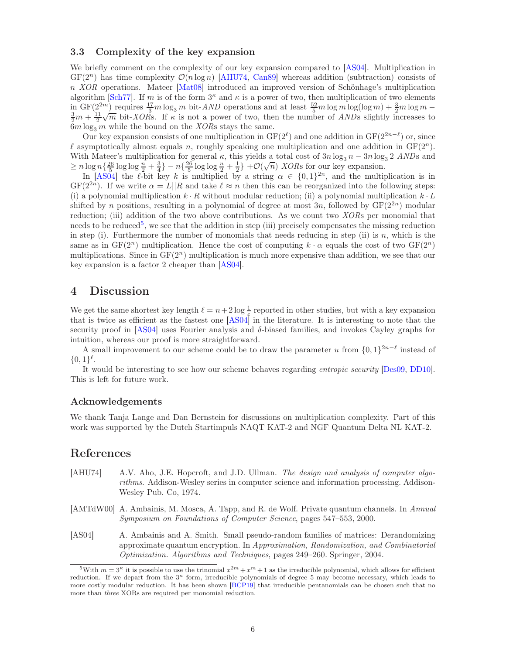## <span id="page-5-2"></span>3.3 Complexity of the key expansion

We briefly comment on the complexity of our key expansion compared to [\[AS04\]](#page-5-1). Multiplication in  $GF(2^n)$  has time complexity  $\mathcal{O}(n \log n)$  [\[AHU74,](#page-5-3) [Can89\]](#page-6-12) whereas addition (subtraction) consists of n *XOR* operations. Mateer [\[Mat08\]](#page-6-13) introduced an improved version of Schönhage's multiplication algorithm [\[Sch77\]](#page-6-14). If m is of the form  $3^{\kappa}$  and  $\kappa$  is a power of two, then multiplication of two elements in GF( $2^{2m}$ ) requires  $\frac{17}{3}m \log_3 m$  bit- $AND$  operations and at least  $\frac{52}{5}m \log m \log(\log m) + \frac{3}{2}m \log m - \frac{3}{2}m + \frac{11}{2}\sqrt{m}$  bit- $XOR$ s. If  $\kappa$  is not a power of two, then the number of  $AND$ s slightly increases to  $6m \log_3 m$  while the bound on the *XORs* stays the same.

Our key expansion consists of one multiplication in  $GF(2^{\ell})$  and one addition in  $GF(2^{2n-\ell})$  or, since l asymptotically almost equals n, roughly speaking one multiplication and one addition in  $GF(2<sup>n</sup>)$ . With Mateer's multiplication for general  $\kappa$ , this yields a total cost of  $3n \log_3 n - 3n \log_3 2$  *ANDs* and  $\geq n \log n \left\{ \frac{26}{5} \log \log \frac{n}{2} + \frac{3}{4} \right\} - n \left\{ \frac{26}{5} \log \log \frac{n}{2} + \frac{1}{2} \right\} + \mathcal{O}(\sqrt{n})$  *XOR*s for our key expansion.

In [\[AS04\]](#page-5-1) the  $\ell$ -bit key k is multiplied by a string  $\alpha \in \{0,1\}^{2n}$ , and the multiplication is in  $GF(2^{2n})$ . If we write  $\alpha = L||R$  and take  $\ell \approx n$  then this can be reorganized into the following steps: (i) a polynomial multiplication  $k \cdot R$  without modular reduction; (ii) a polynomial multiplication  $k \cdot L$ shifted by n positions, resulting in a polynomial of degree at most 3n, followed by  $GF(2^{2n})$  modular reduction; (iii) addition of the two above contributions. As we count two *XOR*s per monomial that needs to be reduced<sup>[5](#page-5-5)</sup>, we see that the addition in step (iii) precisely compensates the missing reduction in step (i). Furthermore the number of monomials that needs reducing in step (ii) is  $n$ , which is the same as in  $GF(2^n)$  multiplication. Hence the cost of computing  $k \cdot \alpha$  equals the cost of two  $GF(2^n)$ multiplications. Since in  $GF(2<sup>n</sup>)$  multiplication is much more expensive than addition, we see that our key expansion is a factor 2 cheaper than [\[AS04\]](#page-5-1).

## <span id="page-5-4"></span>4 Discussion

We get the same shortest key length  $\ell = n + 2 \log \frac{1}{\varepsilon}$  reported in other studies, but with a key expansion that is twice as efficient as the fastest one [\[AS04\]](#page-5-1) in the literature. It is interesting to note that the security proof in [\[AS04\]](#page-5-1) uses Fourier analysis and  $\delta$ -biased families, and invokes Cayley graphs for intuition, whereas our proof is more straightforward.

A small improvement to our scheme could be to draw the parameter u from  $\{0,1\}^{2n-\ell}$  instead of  $\{0,1\}^{\ell}.$ 

It would be interesting to see how our scheme behaves regarding *entropic security* [\[Des09,](#page-6-10) [DD10\]](#page-6-11). This is left for future work.

## Acknowledgements

We thank Tanja Lange and Dan Bernstein for discussions on multiplication complexity. Part of this work was supported by the Dutch Startimpuls NAQT KAT-2 and NGF Quantum Delta NL KAT-2.

## References

- <span id="page-5-3"></span>[AHU74] A.V. Aho, J.E. Hopcroft, and J.D. Ullman. *The design and analysis of computer algorithms*. Addison-Wesley series in computer science and information processing. Addison-Wesley Pub. Co, 1974.
- <span id="page-5-0"></span>[AMTdW00] A. Ambainis, M. Mosca, A. Tapp, and R. de Wolf. Private quantum channels. In *Annual Symposium on Foundations of Computer Science*, pages 547–553, 2000.
- <span id="page-5-1"></span>[AS04] A. Ambainis and A. Smith. Small pseudo-random families of matrices: Derandomizing approximate quantum encryption. In *Approximation, Randomization, and Combinatorial Optimization. Algorithms and Techniques*, pages 249–260. Springer, 2004.

<span id="page-5-5"></span><sup>&</sup>lt;sup>5</sup>With  $m = 3<sup>k</sup>$  it is possible to use the trinomial  $x<sup>2m</sup> + x<sup>m</sup> + 1$  as the irreducible polynomial, which allows for efficient reduction. If we depart from the 3 <sup>κ</sup> form, irreducible polynomials of degree 5 may become necessary, which leads to more costly modular reduction. It has been shown [\[BCP19\]](#page-6-15) that irreducible pentanomials can be chosen such that no more than three XORs are required per monomial reduction.